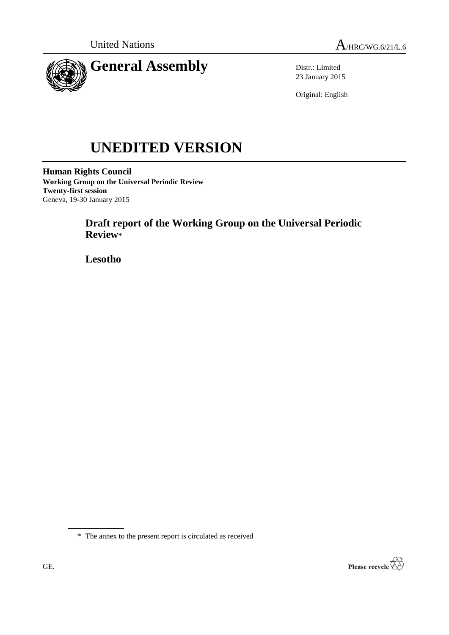

Distr.: Limited 23 January 2015

Original: English

# **UNEDITED VERSION**

**Human Rights Council Working Group on the Universal Periodic Review Twenty-first session** Geneva, 19-30 January 2015

> **Draft report of the Working Group on the Universal Periodic Review\***

**Lesotho**

\* The annex to the present report is circulated as received

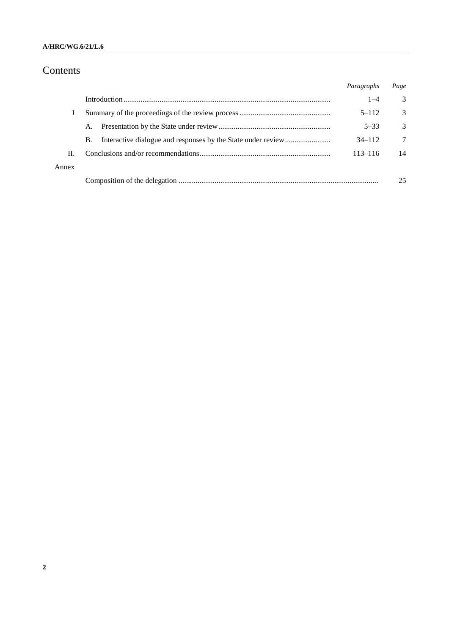## **A/HRC/WG.6/21/L.6**

# Contents

|       |           | Paragraphs  | Page          |
|-------|-----------|-------------|---------------|
|       |           | $1 - 4$     | 3             |
|       |           | $5 - 112$   | 3             |
|       | A.        | $5 - 33$    | $\mathcal{R}$ |
|       | <b>B.</b> | $34 - 112$  | 7             |
| Н.    |           | $113 - 116$ | 14            |
| Annex |           |             |               |
|       |           |             | 25            |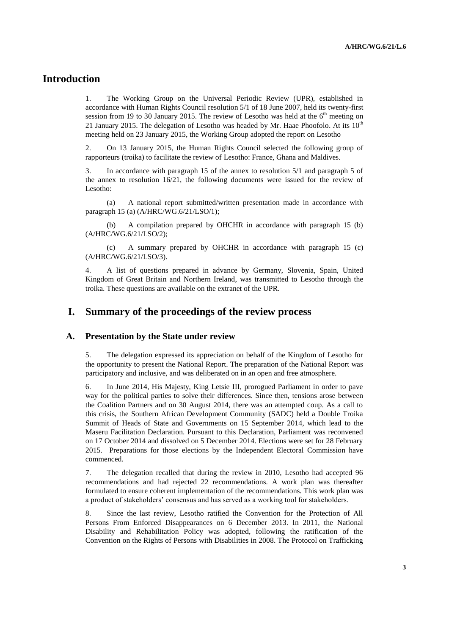# **Introduction**

1. The Working Group on the Universal Periodic Review (UPR), established in accordance with Human Rights Council resolution 5/1 of 18 June 2007, held its twenty-first session from 19 to 30 January 2015. The review of Lesotho was held at the  $6<sup>th</sup>$  meeting on 21 January 2015. The delegation of Lesotho was headed by Mr. Haae Phoofolo. At its  $10^{th}$ meeting held on 23 January 2015, the Working Group adopted the report on Lesotho

2. On 13 January 2015, the Human Rights Council selected the following group of rapporteurs (troika) to facilitate the review of Lesotho: France, Ghana and Maldives.

3. In accordance with paragraph 15 of the annex to resolution 5/1 and paragraph 5 of the annex to resolution 16/21, the following documents were issued for the review of Lesotho:

(a) A national report submitted/written presentation made in accordance with paragraph 15 (a) (A/HRC/WG.6/21/LSO/1);

(b) A compilation prepared by OHCHR in accordance with paragraph 15 (b) (A/HRC/WG.6/21/LSO/2);

(c) A summary prepared by OHCHR in accordance with paragraph 15 (c) (A/HRC/WG.6/21/LSO/3).

4. A list of questions prepared in advance by Germany, Slovenia, Spain, United Kingdom of Great Britain and Northern Ireland, was transmitted to Lesotho through the troika. These questions are available on the extranet of the UPR.

## **I. Summary of the proceedings of the review process**

#### **A. Presentation by the State under review**

5. The delegation expressed its appreciation on behalf of the Kingdom of Lesotho for the opportunity to present the National Report. The preparation of the National Report was participatory and inclusive, and was deliberated on in an open and free atmosphere.

6. In June 2014, His Majesty, King Letsie III, prorogued Parliament in order to pave way for the political parties to solve their differences. Since then, tensions arose between the Coalition Partners and on 30 August 2014, there was an attempted coup. As a call to this crisis, the Southern African Development Community (SADC) held a Double Troika Summit of Heads of State and Governments on 15 September 2014, which lead to the Maseru Facilitation Declaration. Pursuant to this Declaration, Parliament was reconvened on 17 October 2014 and dissolved on 5 December 2014. Elections were set for 28 February 2015. Preparations for those elections by the Independent Electoral Commission have commenced.

7. The delegation recalled that during the review in 2010, Lesotho had accepted 96 recommendations and had rejected 22 recommendations. A work plan was thereafter formulated to ensure coherent implementation of the recommendations. This work plan was a product of stakeholders' consensus and has served as a working tool for stakeholders.

8. Since the last review, Lesotho ratified the Convention for the Protection of All Persons From Enforced Disappearances on 6 December 2013. In 2011, the National Disability and Rehabilitation Policy was adopted, following the ratification of the Convention on the Rights of Persons with Disabilities in 2008. The Protocol on Trafficking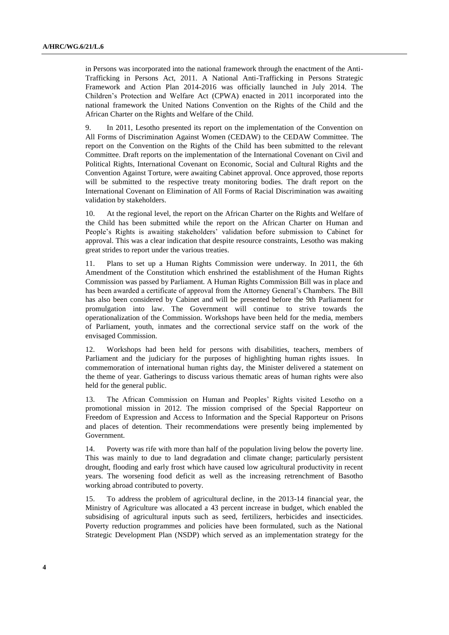in Persons was incorporated into the national framework through the enactment of the Anti-Trafficking in Persons Act, 2011. A National Anti-Trafficking in Persons Strategic Framework and Action Plan 2014-2016 was officially launched in July 2014. The Children's Protection and Welfare Act (CPWA) enacted in 2011 incorporated into the national framework the United Nations Convention on the Rights of the Child and the African Charter on the Rights and Welfare of the Child.

9. In 2011, Lesotho presented its report on the implementation of the Convention on All Forms of Discrimination Against Women (CEDAW) to the CEDAW Committee. The report on the Convention on the Rights of the Child has been submitted to the relevant Committee. Draft reports on the implementation of the International Covenant on Civil and Political Rights, International Covenant on Economic, Social and Cultural Rights and the Convention Against Torture, were awaiting Cabinet approval. Once approved, those reports will be submitted to the respective treaty monitoring bodies. The draft report on the International Covenant on Elimination of All Forms of Racial Discrimination was awaiting validation by stakeholders.

10. At the regional level, the report on the African Charter on the Rights and Welfare of the Child has been submitted while the report on the African Charter on Human and People's Rights is awaiting stakeholders' validation before submission to Cabinet for approval. This was a clear indication that despite resource constraints, Lesotho was making great strides to report under the various treaties.

11. Plans to set up a Human Rights Commission were underway. In 2011, the 6th Amendment of the Constitution which enshrined the establishment of the Human Rights Commission was passed by Parliament. A Human Rights Commission Bill was in place and has been awarded a certificate of approval from the Attorney General's Chambers. The Bill has also been considered by Cabinet and will be presented before the 9th Parliament for promulgation into law. The Government will continue to strive towards the operationalization of the Commission. Workshops have been held for the media, members of Parliament, youth, inmates and the correctional service staff on the work of the envisaged Commission.

12. Workshops had been held for persons with disabilities, teachers, members of Parliament and the judiciary for the purposes of highlighting human rights issues. In commemoration of international human rights day, the Minister delivered a statement on the theme of year. Gatherings to discuss various thematic areas of human rights were also held for the general public.

13. The African Commission on Human and Peoples' Rights visited Lesotho on a promotional mission in 2012. The mission comprised of the Special Rapporteur on Freedom of Expression and Access to Information and the Special Rapporteur on Prisons and places of detention. Their recommendations were presently being implemented by Government.

14. Poverty was rife with more than half of the population living below the poverty line. This was mainly to due to land degradation and climate change; particularly persistent drought, flooding and early frost which have caused low agricultural productivity in recent years. The worsening food deficit as well as the increasing retrenchment of Basotho working abroad contributed to poverty.

15. To address the problem of agricultural decline, in the 2013-14 financial year, the Ministry of Agriculture was allocated a 43 percent increase in budget, which enabled the subsidising of agricultural inputs such as seed, fertilizers, herbicides and insecticides. Poverty reduction programmes and policies have been formulated, such as the National Strategic Development Plan (NSDP) which served as an implementation strategy for the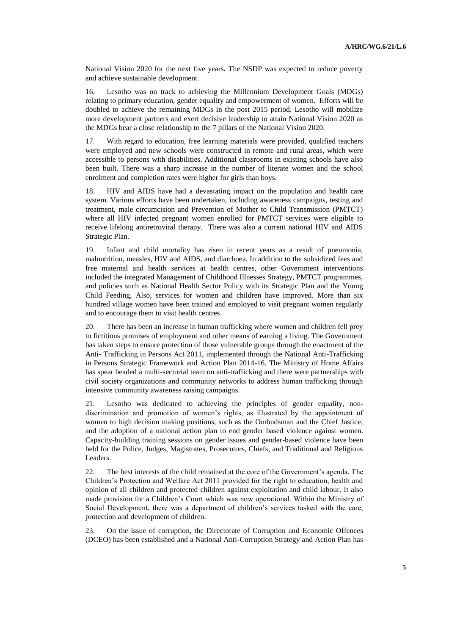National Vision 2020 for the next five years. The NSDP was expected to reduce poverty and achieve sustainable development.

16. Lesotho was on track to achieving the Millennium Development Goals (MDGs) relating to primary education, gender equality and empowerment of women. Efforts will be doubled to achieve the remaining MDGs in the post 2015 period. Lesotho will mobilize more development partners and exert decisive leadership to attain National Vision 2020 as the MDGs bear a close relationship to the 7 pillars of the National Vision 2020.

17. With regard to education, free learning materials were provided, qualified teachers were employed and new schools were constructed in remote and rural areas, which were accessible to persons with disabilities. Additional classrooms in existing schools have also been built. There was a sharp increase in the number of literate women and the school enrolment and completion rates were higher for girls than boys.

18. HIV and AIDS have had a devastating impact on the population and health care system. Various efforts have been undertaken, including awareness campaigns, testing and treatment, male circumcision and Prevention of Mother to Child Transmission (PMTCT) where all HIV infected pregnant women enrolled for PMTCT services were eligible to receive lifelong antiretroviral therapy. There was also a current national HIV and AIDS Strategic Plan.

19. Infant and child mortality has risen in recent years as a result of pneumonia, malnutrition, measles, HIV and AIDS, and diarrhoea. In addition to the subsidized fees and free maternal and health services at health centres, other Government interventions included the integrated Management of Childhood Illnesses Strategy, PMTCT programmes, and policies such as National Health Sector Policy with its Strategic Plan and the Young Child Feeding, Also, services for women and children have improved. More than six hundred village women have been trained and employed to visit pregnant women regularly and to encourage them to visit health centres.

20. There has been an increase in human trafficking where women and children fell prey to fictitious promises of employment and other means of earning a living. The Government has taken steps to ensure protection of those vulnerable groups through the enactment of the Anti- Trafficking in Persons Act 2011, implemented through the National Anti-Trafficking in Persons Strategic Framework and Action Plan 2014-16. The Ministry of Home Affairs has spear headed a multi-sectorial team on anti-trafficking and there were partnerships with civil society organizations and community networks to address human trafficking through intensive community awareness raising campaigns.

21. Lesotho was dedicated to achieving the principles of gender equality, nondiscrimination and promotion of women's rights, as illustrated by the appointment of women to high decision making positions, such as the Ombudsman and the Chief Justice, and the adoption of a national action plan to end gender based violence against women. Capacity-building training sessions on gender issues and gender-based violence have been held for the Police, Judges, Magistrates, Prosecutors, Chiefs, and Traditional and Religious Leaders.

22. The best interests of the child remained at the core of the Government's agenda. The Children's Protection and Welfare Act 2011 provided for the right to education, health and opinion of all children and protected children against exploitation and child labour. It also made provision for a Children's Court which was now operational. Within the Ministry of Social Development, there was a department of children's services tasked with the care, protection and development of children.

23. On the issue of corruption, the Directorate of Corruption and Economic Offences (DCEO) has been established and a National Anti-Corruption Strategy and Action Plan has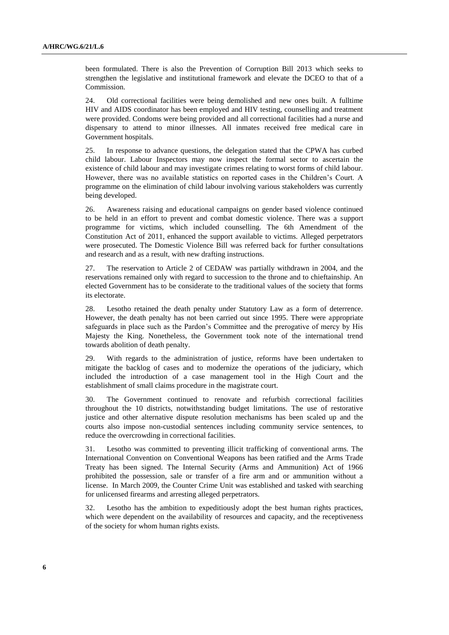been formulated. There is also the Prevention of Corruption Bill 2013 which seeks to strengthen the legislative and institutional framework and elevate the DCEO to that of a Commission.

24. Old correctional facilities were being demolished and new ones built. A fulltime HIV and AIDS coordinator has been employed and HIV testing, counselling and treatment were provided. Condoms were being provided and all correctional facilities had a nurse and dispensary to attend to minor illnesses. All inmates received free medical care in Government hospitals.

25. In response to advance questions, the delegation stated that the CPWA has curbed child labour. Labour Inspectors may now inspect the formal sector to ascertain the existence of child labour and may investigate crimes relating to worst forms of child labour. However, there was no available statistics on reported cases in the Children's Court. A programme on the elimination of child labour involving various stakeholders was currently being developed.

26. Awareness raising and educational campaigns on gender based violence continued to be held in an effort to prevent and combat domestic violence. There was a support programme for victims, which included counselling. The 6th Amendment of the Constitution Act of 2011, enhanced the support available to victims. Alleged perpetrators were prosecuted. The Domestic Violence Bill was referred back for further consultations and research and as a result, with new drafting instructions.

27. The reservation to Article 2 of CEDAW was partially withdrawn in 2004, and the reservations remained only with regard to succession to the throne and to chieftainship. An elected Government has to be considerate to the traditional values of the society that forms its electorate.

28. Lesotho retained the death penalty under Statutory Law as a form of deterrence. However, the death penalty has not been carried out since 1995. There were appropriate safeguards in place such as the Pardon's Committee and the prerogative of mercy by His Majesty the King. Nonetheless, the Government took note of the international trend towards abolition of death penalty.

29. With regards to the administration of justice, reforms have been undertaken to mitigate the backlog of cases and to modernize the operations of the judiciary, which included the introduction of a case management tool in the High Court and the establishment of small claims procedure in the magistrate court.

30. The Government continued to renovate and refurbish correctional facilities throughout the 10 districts, notwithstanding budget limitations. The use of restorative justice and other alternative dispute resolution mechanisms has been scaled up and the courts also impose non-custodial sentences including community service sentences, to reduce the overcrowding in correctional facilities.

31. Lesotho was committed to preventing illicit trafficking of conventional arms. The International Convention on Conventional Weapons has been ratified and the Arms Trade Treaty has been signed. The Internal Security (Arms and Ammunition) Act of 1966 prohibited the possession, sale or transfer of a fire arm and or ammunition without a license. In March 2009, the Counter Crime Unit was established and tasked with searching for unlicensed firearms and arresting alleged perpetrators.

32. Lesotho has the ambition to expeditiously adopt the best human rights practices, which were dependent on the availability of resources and capacity, and the receptiveness of the society for whom human rights exists.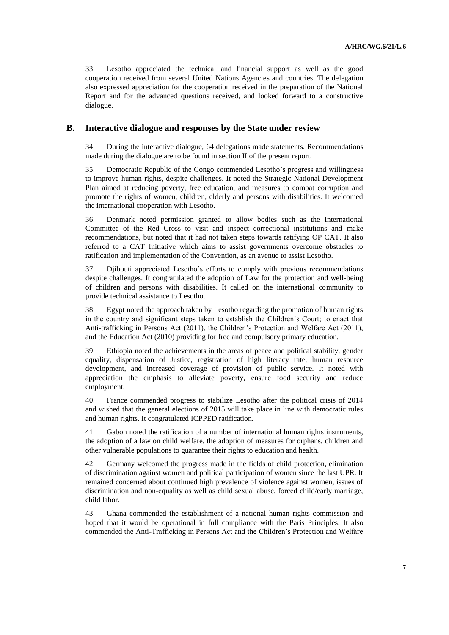33. Lesotho appreciated the technical and financial support as well as the good cooperation received from several United Nations Agencies and countries. The delegation also expressed appreciation for the cooperation received in the preparation of the National Report and for the advanced questions received, and looked forward to a constructive dialogue.

### **B. Interactive dialogue and responses by the State under review**

34. During the interactive dialogue, 64 delegations made statements. Recommendations made during the dialogue are to be found in section II of the present report.

35. Democratic Republic of the Congo commended Lesotho's progress and willingness to improve human rights, despite challenges. It noted the Strategic National Development Plan aimed at reducing poverty, free education, and measures to combat corruption and promote the rights of women, children, elderly and persons with disabilities. It welcomed the international cooperation with Lesotho.

36. Denmark noted permission granted to allow bodies such as the International Committee of the Red Cross to visit and inspect correctional institutions and make recommendations, but noted that it had not taken steps towards ratifying OP CAT. It also referred to a CAT Initiative which aims to assist governments overcome obstacles to ratification and implementation of the Convention, as an avenue to assist Lesotho.

37. Djibouti appreciated Lesotho's efforts to comply with previous recommendations despite challenges. It congratulated the adoption of Law for the protection and well-being of children and persons with disabilities. It called on the international community to provide technical assistance to Lesotho.

38. Egypt noted the approach taken by Lesotho regarding the promotion of human rights in the country and significant steps taken to establish the Children's Court; to enact that Anti-trafficking in Persons Act (2011), the Children's Protection and Welfare Act (2011), and the Education Act (2010) providing for free and compulsory primary education.

39. Ethiopia noted the achievements in the areas of peace and political stability, gender equality, dispensation of Justice, registration of high literacy rate, human resource development, and increased coverage of provision of public service. It noted with appreciation the emphasis to alleviate poverty, ensure food security and reduce employment.

40. France commended progress to stabilize Lesotho after the political crisis of 2014 and wished that the general elections of 2015 will take place in line with democratic rules and human rights. It congratulated ICPPED ratification.

41. Gabon noted the ratification of a number of international human rights instruments, the adoption of a law on child welfare, the adoption of measures for orphans, children and other vulnerable populations to guarantee their rights to education and health.

42. Germany welcomed the progress made in the fields of child protection, elimination of discrimination against women and political participation of women since the last UPR. It remained concerned about continued high prevalence of violence against women, issues of discrimination and non-equality as well as child sexual abuse, forced child/early marriage, child labor.

43. Ghana commended the establishment of a national human rights commission and hoped that it would be operational in full compliance with the Paris Principles. It also commended the Anti-Trafficking in Persons Act and the Children's Protection and Welfare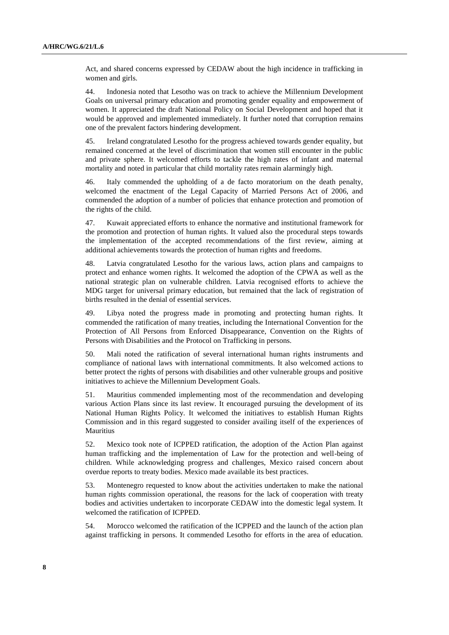Act, and shared concerns expressed by CEDAW about the high incidence in trafficking in women and girls.

44. Indonesia noted that Lesotho was on track to achieve the Millennium Development Goals on universal primary education and promoting gender equality and empowerment of women. It appreciated the draft National Policy on Social Development and hoped that it would be approved and implemented immediately. It further noted that corruption remains one of the prevalent factors hindering development.

45. Ireland congratulated Lesotho for the progress achieved towards gender equality, but remained concerned at the level of discrimination that women still encounter in the public and private sphere. It welcomed efforts to tackle the high rates of infant and maternal mortality and noted in particular that child mortality rates remain alarmingly high.

46. Italy commended the upholding of a de facto moratorium on the death penalty, welcomed the enactment of the Legal Capacity of Married Persons Act of 2006, and commended the adoption of a number of policies that enhance protection and promotion of the rights of the child.

47. Kuwait appreciated efforts to enhance the normative and institutional framework for the promotion and protection of human rights. It valued also the procedural steps towards the implementation of the accepted recommendations of the first review, aiming at additional achievements towards the protection of human rights and freedoms.

48. Latvia congratulated Lesotho for the various laws, action plans and campaigns to protect and enhance women rights. It welcomed the adoption of the CPWA as well as the national strategic plan on vulnerable children. Latvia recognised efforts to achieve the MDG target for universal primary education, but remained that the lack of registration of births resulted in the denial of essential services.

49. Libya noted the progress made in promoting and protecting human rights. It commended the ratification of many treaties, including the International Convention for the Protection of All Persons from Enforced Disappearance, Convention on the Rights of Persons with Disabilities and the Protocol on Trafficking in persons.

50. Mali noted the ratification of several international human rights instruments and compliance of national laws with international commitments. It also welcomed actions to better protect the rights of persons with disabilities and other vulnerable groups and positive initiatives to achieve the Millennium Development Goals.

51. Mauritius commended implementing most of the recommendation and developing various Action Plans since its last review. It encouraged pursuing the development of its National Human Rights Policy. It welcomed the initiatives to establish Human Rights Commission and in this regard suggested to consider availing itself of the experiences of Mauritius

52. Mexico took note of ICPPED ratification, the adoption of the Action Plan against human trafficking and the implementation of Law for the protection and well-being of children. While acknowledging progress and challenges, Mexico raised concern about overdue reports to treaty bodies. Mexico made available its best practices.

53. Montenegro requested to know about the activities undertaken to make the national human rights commission operational, the reasons for the lack of cooperation with treaty bodies and activities undertaken to incorporate CEDAW into the domestic legal system. It welcomed the ratification of ICPPED.

54. Morocco welcomed the ratification of the ICPPED and the launch of the action plan against trafficking in persons. It commended Lesotho for efforts in the area of education.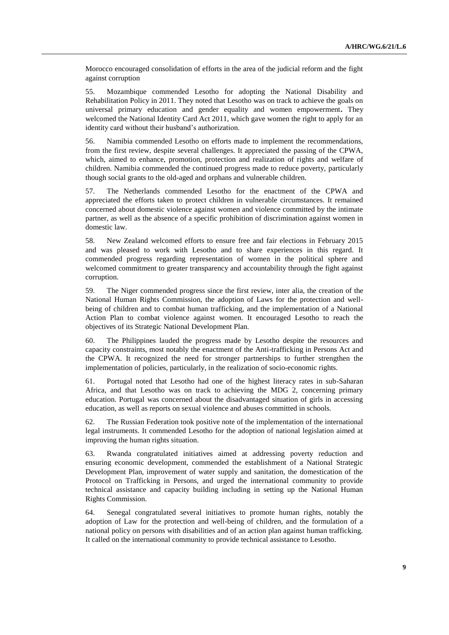Morocco encouraged consolidation of efforts in the area of the judicial reform and the fight against corruption

55. Mozambique commended Lesotho for adopting the National Disability and Rehabilitation Policy in 2011. They noted that Lesotho was on track to achieve the goals on universal primary education and gender equality and women empowerment**.** They welcomed the National Identity Card Act 2011, which gave women the right to apply for an identity card without their husband's authorization.

56. Namibia commended Lesotho on efforts made to implement the recommendations, from the first review, despite several challenges. It appreciated the passing of the CPWA, which, aimed to enhance, promotion, protection and realization of rights and welfare of children. Namibia commended the continued progress made to reduce poverty, particularly though social grants to the old-aged and orphans and vulnerable children.

57. The Netherlands commended Lesotho for the enactment of the CPWA and appreciated the efforts taken to protect children in vulnerable circumstances. It remained concerned about domestic violence against women and violence committed by the intimate partner, as well as the absence of a specific prohibition of discrimination against women in domestic law.

58. New Zealand welcomed efforts to ensure free and fair elections in February 2015 and was pleased to work with Lesotho and to share experiences in this regard. It commended progress regarding representation of women in the political sphere and welcomed commitment to greater transparency and accountability through the fight against corruption.

59. The Niger commended progress since the first review, inter alia, the creation of the National Human Rights Commission, the adoption of Laws for the protection and wellbeing of children and to combat human trafficking, and the implementation of a National Action Plan to combat violence against women. It encouraged Lesotho to reach the objectives of its Strategic National Development Plan.

60. The Philippines lauded the progress made by Lesotho despite the resources and capacity constraints, most notably the enactment of the Anti-trafficking in Persons Act and the CPWA. It recognized the need for stronger partnerships to further strengthen the implementation of policies, particularly, in the realization of socio-economic rights.

61. Portugal noted that Lesotho had one of the highest literacy rates in sub-Saharan Africa, and that Lesotho was on track to achieving the MDG 2, concerning primary education. Portugal was concerned about the disadvantaged situation of girls in accessing education, as well as reports on sexual violence and abuses committed in schools.

62. The Russian Federation took positive note of the implementation of the international legal instruments. It commended Lesotho for the adoption of national legislation aimed at improving the human rights situation.

63. Rwanda congratulated initiatives aimed at addressing poverty reduction and ensuring economic development, commended the establishment of a National Strategic Development Plan, improvement of water supply and sanitation, the domestication of the Protocol on Trafficking in Persons, and urged the international community to provide technical assistance and capacity building including in setting up the National Human Rights Commission.

64. Senegal congratulated several initiatives to promote human rights, notably the adoption of Law for the protection and well-being of children, and the formulation of a national policy on persons with disabilities and of an action plan against human trafficking. It called on the international community to provide technical assistance to Lesotho.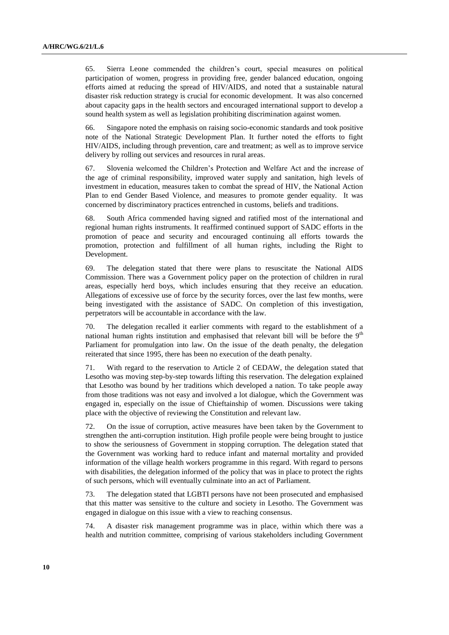65. Sierra Leone commended the children's court, special measures on political participation of women, progress in providing free, gender balanced education, ongoing efforts aimed at reducing the spread of HIV/AIDS, and noted that a sustainable natural disaster risk reduction strategy is crucial for economic development. It was also concerned about capacity gaps in the health sectors and encouraged international support to develop a sound health system as well as legislation prohibiting discrimination against women.

66. Singapore noted the emphasis on raising socio-economic standards and took positive note of the National Strategic Development Plan. It further noted the efforts to fight HIV/AIDS, including through prevention, care and treatment; as well as to improve service delivery by rolling out services and resources in rural areas.

67. Slovenia welcomed the Children's Protection and Welfare Act and the increase of the age of criminal responsibility, improved water supply and sanitation, high levels of investment in education, measures taken to combat the spread of HIV, the National Action Plan to end Gender Based Violence, and measures to promote gender equality. It was concerned by discriminatory practices entrenched in customs, beliefs and traditions.

68. South Africa commended having signed and ratified most of the international and regional human rights instruments. It reaffirmed continued support of SADC efforts in the promotion of peace and security and encouraged continuing all efforts towards the promotion, protection and fulfillment of all human rights, including the Right to Development.

69. The delegation stated that there were plans to resuscitate the National AIDS Commission. There was a Government policy paper on the protection of children in rural areas, especially herd boys, which includes ensuring that they receive an education. Allegations of excessive use of force by the security forces, over the last few months, were being investigated with the assistance of SADC. On completion of this investigation, perpetrators will be accountable in accordance with the law.

70. The delegation recalled it earlier comments with regard to the establishment of a national human rights institution and emphasised that relevant bill will be before the  $9<sup>th</sup>$ Parliament for promulgation into law. On the issue of the death penalty, the delegation reiterated that since 1995, there has been no execution of the death penalty.

71. With regard to the reservation to Article 2 of CEDAW, the delegation stated that Lesotho was moving step-by-step towards lifting this reservation. The delegation explained that Lesotho was bound by her traditions which developed a nation. To take people away from those traditions was not easy and involved a lot dialogue, which the Government was engaged in, especially on the issue of Chieftainship of women. Discussions were taking place with the objective of reviewing the Constitution and relevant law.

72. On the issue of corruption, active measures have been taken by the Government to strengthen the anti-corruption institution. High profile people were being brought to justice to show the seriousness of Government in stopping corruption. The delegation stated that the Government was working hard to reduce infant and maternal mortality and provided information of the village health workers programme in this regard. With regard to persons with disabilities, the delegation informed of the policy that was in place to protect the rights of such persons, which will eventually culminate into an act of Parliament.

73. The delegation stated that LGBTI persons have not been prosecuted and emphasised that this matter was sensitive to the culture and society in Lesotho. The Government was engaged in dialogue on this issue with a view to reaching consensus.

74. A disaster risk management programme was in place, within which there was a health and nutrition committee, comprising of various stakeholders including Government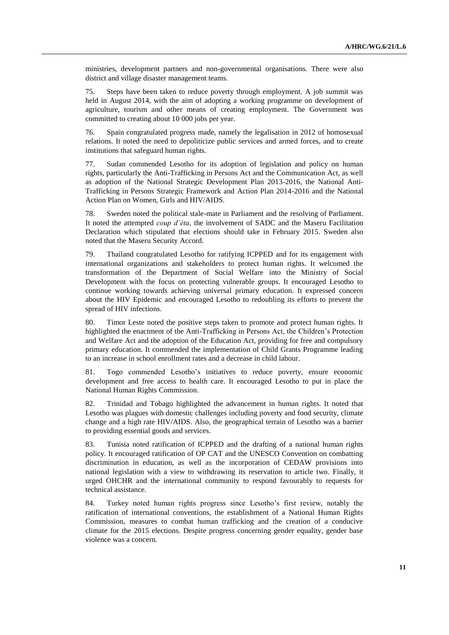ministries, development partners and non-governmental organisations. There were also district and village disaster management teams.

75. Steps have been taken to reduce poverty through employment. A job summit was held in August 2014, with the aim of adopting a working programme on development of agriculture, tourism and other means of creating employment. The Government was committed to creating about 10 000 jobs per year.

76. Spain congratulated progress made, namely the legalisation in 2012 of homosexual relations. It noted the need to depoliticize public services and armed forces, and to create institutions that safeguard human rights.

77. Sudan commended Lesotho for its adoption of legislation and policy on human rights, particularly the Anti-Trafficking in Persons Act and the Communication Act, as well as adoption of the National Strategic Development Plan 2013-2016, the National Anti-Trafficking in Persons Strategic Framework and Action Plan 2014-2016 and the National Action Plan on Women, Girls and HIV/AIDS.

78. Sweden noted the political stale-mate in Parliament and the resolving of Parliament. It noted the attempted *coup d'éta*, the involvement of SADC and the Maseru Facilitation Declaration which stipulated that elections should take in February 2015. Sweden also noted that the Maseru Security Accord.

79. Thailand congratulated Lesotho for ratifying ICPPED and for its engagement with international organizations and stakeholders to protect human rights. It welcomed the transformation of the Department of Social Welfare into the Ministry of Social Development with the focus on protecting vulnerable groups. It encouraged Lesotho to continue working towards achieving universal primary education. It expressed concern about the HIV Epidemic and encouraged Lesotho to redoubling its efforts to prevent the spread of HIV infections.

80. Timor Leste noted the positive steps taken to promote and protect human rights. It highlighted the enactment of the Anti-Trafficking in Persons Act, the Children's Protection and Welfare Act and the adoption of the Education Act, providing for free and compulsory primary education. It commended the implementation of Child Grants Programme leading to an increase in school enrollment rates and a decrease in child labour.

81. Togo commended Lesotho's initiatives to reduce poverty, ensure economic development and free access to health care. It encouraged Lesotho to put in place the National Human Rights Commission.

82. Trinidad and Tobago highlighted the advancement in human rights. It noted that Lesotho was plagues with domestic challenges including poverty and food security, climate change and a high rate HIV/AIDS. Also, the geographical terrain of Lesotho was a barrier to providing essential goods and services.

83. Tunisia noted ratification of ICPPED and the drafting of a national human rights policy. It encouraged ratification of OP CAT and the UNESCO Convention on combatting discrimination in education, as well as the incorporation of CEDAW provisions into national legislation with a view to withdrawing its reservation to article two. Finally, it urged OHCHR and the international community to respond favourably to requests for technical assistance.

84. Turkey noted human rights progress since Lesotho's first review, notably the ratification of international conventions, the establishment of a National Human Rights Commission, measures to combat human trafficking and the creation of a conducive climate for the 2015 elections. Despite progress concerning gender equality, gender base violence was a concern.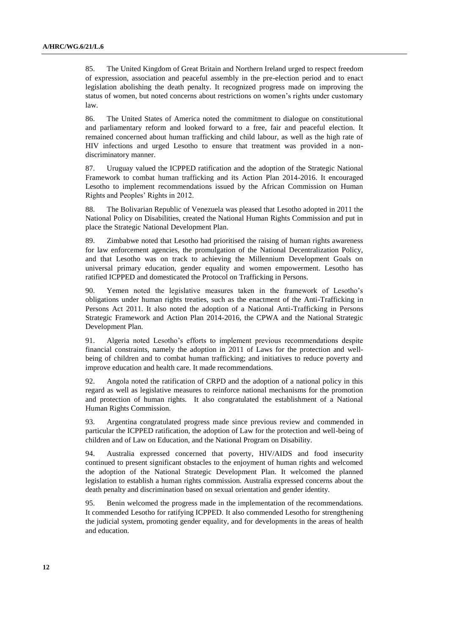85. The United Kingdom of Great Britain and Northern Ireland urged to respect freedom of expression, association and peaceful assembly in the pre-election period and to enact legislation abolishing the death penalty. It recognized progress made on improving the status of women, but noted concerns about restrictions on women's rights under customary law.

86. The United States of America noted the commitment to dialogue on constitutional and parliamentary reform and looked forward to a free, fair and peaceful election. It remained concerned about human trafficking and child labour, as well as the high rate of HIV infections and urged Lesotho to ensure that treatment was provided in a nondiscriminatory manner.

87. Uruguay valued the ICPPED ratification and the adoption of the Strategic National Framework to combat human trafficking and its Action Plan 2014-2016. It encouraged Lesotho to implement recommendations issued by the African Commission on Human Rights and Peoples' Rights in 2012.

88. The Bolivarian Republic of Venezuela was pleased that Lesotho adopted in 2011 the National Policy on Disabilities, created the National Human Rights Commission and put in place the Strategic National Development Plan.

89. Zimbabwe noted that Lesotho had prioritised the raising of human rights awareness for law enforcement agencies, the promulgation of the National Decentralization Policy, and that Lesotho was on track to achieving the Millennium Development Goals on universal primary education, gender equality and women empowerment. Lesotho has ratified ICPPED and domesticated the Protocol on Trafficking in Persons.

90. Yemen noted the legislative measures taken in the framework of Lesotho's obligations under human rights treaties, such as the enactment of the Anti-Trafficking in Persons Act 2011. It also noted the adoption of a National Anti-Trafficking in Persons Strategic Framework and Action Plan 2014-2016, the CPWA and the National Strategic Development Plan.

91. Algeria noted Lesotho's efforts to implement previous recommendations despite financial constraints, namely the adoption in 2011 of Laws for the protection and wellbeing of children and to combat human trafficking; and initiatives to reduce poverty and improve education and health care. It made recommendations.

92. Angola noted the ratification of CRPD and the adoption of a national policy in this regard as well as legislative measures to reinforce national mechanisms for the promotion and protection of human rights. It also congratulated the establishment of a National Human Rights Commission.

93. Argentina congratulated progress made since previous review and commended in particular the ICPPED ratification, the adoption of Law for the protection and well-being of children and of Law on Education, and the National Program on Disability.

94. Australia expressed concerned that poverty, HIV/AIDS and food insecurity continued to present significant obstacles to the enjoyment of human rights and welcomed the adoption of the National Strategic Development Plan. It welcomed the planned legislation to establish a human rights commission. Australia expressed concerns about the death penalty and discrimination based on sexual orientation and gender identity.

95. Benin welcomed the progress made in the implementation of the recommendations. It commended Lesotho for ratifying ICPPED. It also commended Lesotho for strengthening the judicial system, promoting gender equality, and for developments in the areas of health and education.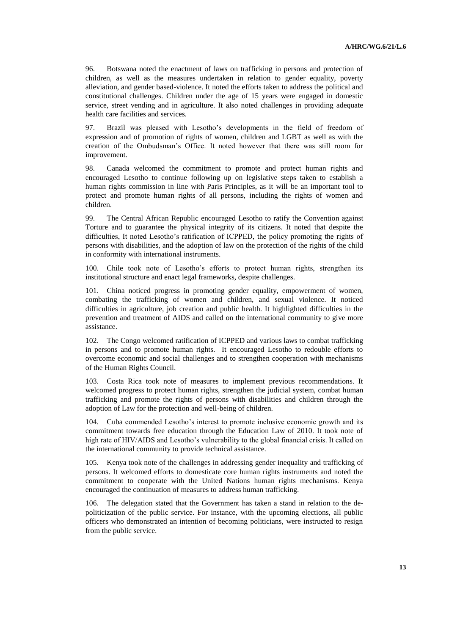96. Botswana noted the enactment of laws on trafficking in persons and protection of children, as well as the measures undertaken in relation to gender equality, poverty alleviation, and gender based-violence. It noted the efforts taken to address the political and constitutional challenges. Children under the age of 15 years were engaged in domestic service, street vending and in agriculture. It also noted challenges in providing adequate health care facilities and services.

97. Brazil was pleased with Lesotho's developments in the field of freedom of expression and of promotion of rights of women, children and LGBT as well as with the creation of the Ombudsman's Office. It noted however that there was still room for improvement.

98. Canada welcomed the commitment to promote and protect human rights and encouraged Lesotho to continue following up on legislative steps taken to establish a human rights commission in line with Paris Principles, as it will be an important tool to protect and promote human rights of all persons, including the rights of women and children.

99. The Central African Republic encouraged Lesotho to ratify the Convention against Torture and to guarantee the physical integrity of its citizens. It noted that despite the difficulties, It noted Lesotho's ratification of ICPPED, the policy promoting the rights of persons with disabilities, and the adoption of law on the protection of the rights of the child in conformity with international instruments.

100. Chile took note of Lesotho's efforts to protect human rights, strengthen its institutional structure and enact legal frameworks, despite challenges.

101. China noticed progress in promoting gender equality, empowerment of women, combating the trafficking of women and children, and sexual violence. It noticed difficulties in agriculture, job creation and public health. It highlighted difficulties in the prevention and treatment of AIDS and called on the international community to give more assistance.

102. The Congo welcomed ratification of ICPPED and various laws to combat trafficking in persons and to promote human rights. It encouraged Lesotho to redouble efforts to overcome economic and social challenges and to strengthen cooperation with mechanisms of the Human Rights Council.

103. Costa Rica took note of measures to implement previous recommendations. It welcomed progress to protect human rights, strengthen the judicial system, combat human trafficking and promote the rights of persons with disabilities and children through the adoption of Law for the protection and well-being of children.

104. Cuba commended Lesotho's interest to promote inclusive economic growth and its commitment towards free education through the Education Law of 2010. It took note of high rate of HIV/AIDS and Lesotho's vulnerability to the global financial crisis. It called on the international community to provide technical assistance.

105. Kenya took note of the challenges in addressing gender inequality and trafficking of persons. It welcomed efforts to domesticate core human rights instruments and noted the commitment to cooperate with the United Nations human rights mechanisms. Kenya encouraged the continuation of measures to address human trafficking.

The delegation stated that the Government has taken a stand in relation to the depoliticization of the public service. For instance, with the upcoming elections, all public officers who demonstrated an intention of becoming politicians, were instructed to resign from the public service.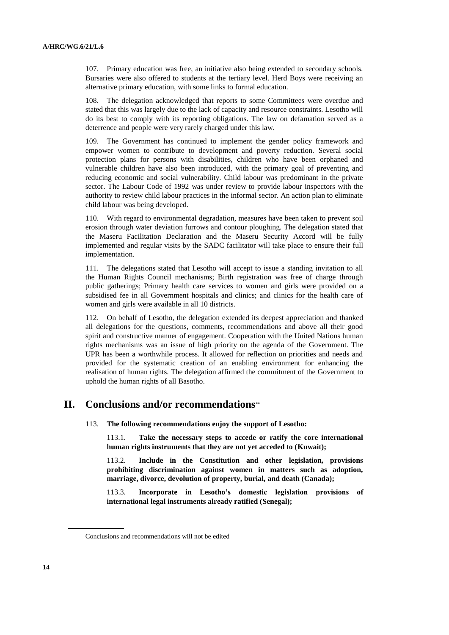107. Primary education was free, an initiative also being extended to secondary schools. Bursaries were also offered to students at the tertiary level. Herd Boys were receiving an alternative primary education, with some links to formal education.

108. The delegation acknowledged that reports to some Committees were overdue and stated that this was largely due to the lack of capacity and resource constraints. Lesotho will do its best to comply with its reporting obligations. The law on defamation served as a deterrence and people were very rarely charged under this law.

109. The Government has continued to implement the gender policy framework and empower women to contribute to development and poverty reduction. Several social protection plans for persons with disabilities, children who have been orphaned and vulnerable children have also been introduced, with the primary goal of preventing and reducing economic and social vulnerability. Child labour was predominant in the private sector. The Labour Code of 1992 was under review to provide labour inspectors with the authority to review child labour practices in the informal sector. An action plan to eliminate child labour was being developed.

110. With regard to environmental degradation, measures have been taken to prevent soil erosion through water deviation furrows and contour ploughing. The delegation stated that the Maseru Facilitation Declaration and the Maseru Security Accord will be fully implemented and regular visits by the SADC facilitator will take place to ensure their full implementation.

111. The delegations stated that Lesotho will accept to issue a standing invitation to all the Human Rights Council mechanisms; Birth registration was free of charge through public gatherings; Primary health care services to women and girls were provided on a subsidised fee in all Government hospitals and clinics; and clinics for the health care of women and girls were available in all 10 districts.

112. On behalf of Lesotho, the delegation extended its deepest appreciation and thanked all delegations for the questions, comments, recommendations and above all their good spirit and constructive manner of engagement. Cooperation with the United Nations human rights mechanisms was an issue of high priority on the agenda of the Government. The UPR has been a worthwhile process. It allowed for reflection on priorities and needs and provided for the systematic creation of an enabling environment for enhancing the realisation of human rights. The delegation affirmed the commitment of the Government to uphold the human rights of all Basotho.

## **II. Conclusions and/or recommendations**

113. **The following recommendations enjoy the support of Lesotho:**

113.1. **Take the necessary steps to accede or ratify the core international human rights instruments that they are not yet acceded to (Kuwait);** 

113.2. **Include in the Constitution and other legislation, provisions prohibiting discrimination against women in matters such as adoption, marriage, divorce, devolution of property, burial, and death (Canada);** 

113.3. **Incorporate in Lesotho's domestic legislation provisions of international legal instruments already ratified (Senegal);** 

Conclusions and recommendations will not be edited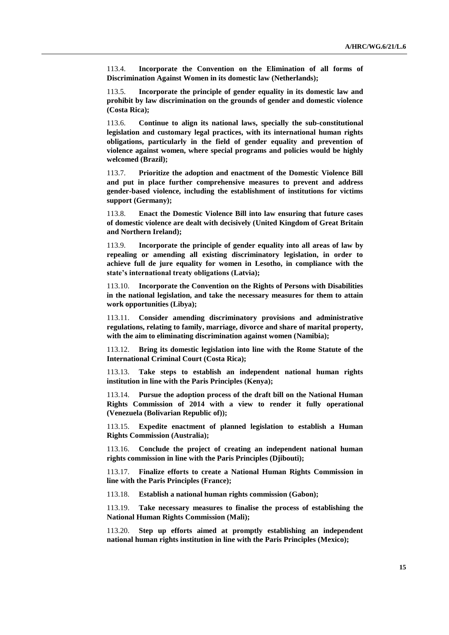113.4. **Incorporate the Convention on the Elimination of all forms of Discrimination Against Women in its domestic law (Netherlands);** 

113.5. **Incorporate the principle of gender equality in its domestic law and prohibit by law discrimination on the grounds of gender and domestic violence (Costa Rica);**

113.6. **Continue to align its national laws, specially the sub-constitutional legislation and customary legal practices, with its international human rights obligations, particularly in the field of gender equality and prevention of violence against women, where special programs and policies would be highly welcomed (Brazil);** 

113.7. **Prioritize the adoption and enactment of the Domestic Violence Bill and put in place further comprehensive measures to prevent and address gender-based violence, including the establishment of institutions for victims support (Germany);** 

113.8. **Enact the Domestic Violence Bill into law ensuring that future cases of domestic violence are dealt with decisively (United Kingdom of Great Britain and Northern Ireland);**

113.9. **Incorporate the principle of gender equality into all areas of law by repealing or amending all existing discriminatory legislation, in order to achieve full de jure equality for women in Lesotho, in compliance with the state's international treaty obligations (Latvia);** 

113.10. **Incorporate the Convention on the Rights of Persons with Disabilities in the national legislation, and take the necessary measures for them to attain work opportunities (Libya);** 

113.11. **Consider amending discriminatory provisions and administrative regulations, relating to family, marriage, divorce and share of marital property, with the aim to eliminating discrimination against women (Namibia);** 

113.12. **Bring its domestic legislation into line with the Rome Statute of the International Criminal Court (Costa Rica);** 

113.13. **Take steps to establish an independent national human rights institution in line with the Paris Principles (Kenya);** 

113.14. **Pursue the adoption process of the draft bill on the National Human Rights Commission of 2014 with a view to render it fully operational (Venezuela (Bolivarian Republic of));**

113.15. **Expedite enactment of planned legislation to establish a Human Rights Commission (Australia);** 

113.16. **Conclude the project of creating an independent national human rights commission in line with the Paris Principles (Djibouti);** 

113.17. **Finalize efforts to create a National Human Rights Commission in line with the Paris Principles (France);** 

113.18. **Establish a national human rights commission (Gabon);** 

113.19. **Take necessary measures to finalise the process of establishing the National Human Rights Commission (Mali);** 

113.20. **Step up efforts aimed at promptly establishing an independent national human rights institution in line with the Paris Principles (Mexico);**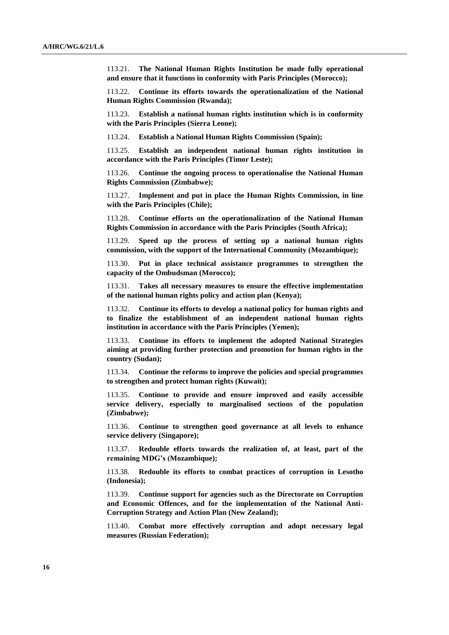113.21. **The National Human Rights Institution be made fully operational and ensure that it functions in conformity with Paris Principles (Morocco);** 

113.22. **Continue its efforts towards the operationalization of the National Human Rights Commission (Rwanda);** 

113.23. **Establish a national human rights institution which is in conformity with the Paris Principles (Sierra Leone);** 

113.24. **Establish a National Human Rights Commission (Spain);** 

113.25. **Establish an independent national human rights institution in accordance with the Paris Principles (Timor Leste);** 

113.26. **Continue the ongoing process to operationalise the National Human Rights Commission (Zimbabwe);** 

113.27. **Implement and put in place the Human Rights Commission, in line with the Paris Principles (Chile);** 

113.28. **Continue efforts on the operationalization of the National Human Rights Commission in accordance with the Paris Principles (South Africa);** 

113.29. **Speed up the process of setting up a national human rights commission, with the support of the International Community (Mozambique);** 

113.30. **Put in place technical assistance programmes to strengthen the capacity of the Ombudsman (Morocco);** 

113.31. **Takes all necessary measures to ensure the effective implementation of the national human rights policy and action plan (Kenya);** 

113.32. **Continue its efforts to develop a national policy for human rights and to finalize the establishment of an independent national human rights institution in accordance with the Paris Principles (Yemen);** 

113.33. **Continue its efforts to implement the adopted National Strategies aiming at providing further protection and promotion for human rights in the country (Sudan);** 

113.34. **Continue the reforms to improve the policies and special programmes to strengthen and protect human rights (Kuwait);**

113.35. **Continue to provide and ensure improved and easily accessible service delivery, especially to marginalised sections of the population (Zimbabwe);** 

113.36. **Continue to strengthen good governance at all levels to enhance service delivery (Singapore);** 

113.37. **Redouble efforts towards the realization of, at least, part of the remaining MDG's (Mozambique);** 

113.38. **Redouble its efforts to combat practices of corruption in Lesotho (Indonesia);** 

113.39. **Continue support for agencies such as the Directorate on Corruption and Economic Offences, and for the implementation of the National Anti-Corruption Strategy and Action Plan (New Zealand);** 

113.40. **Combat more effectively corruption and adopt necessary legal measures (Russian Federation);**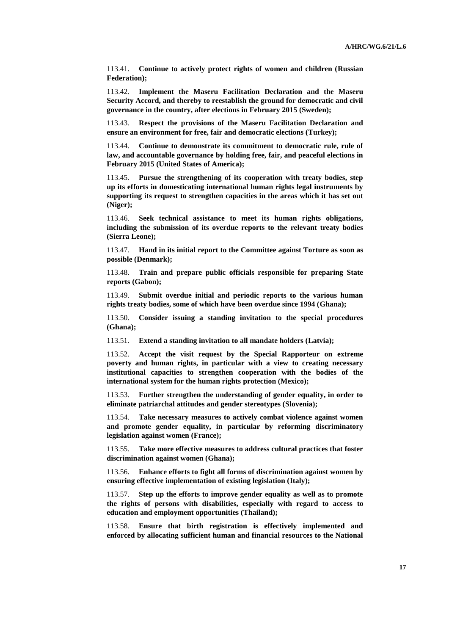113.41. **Continue to actively protect rights of women and children (Russian Federation);**

113.42. **Implement the Maseru Facilitation Declaration and the Maseru Security Accord, and thereby to reestablish the ground for democratic and civil governance in the country, after elections in February 2015 (Sweden);** 

113.43. **Respect the provisions of the Maseru Facilitation Declaration and ensure an environment for free, fair and democratic elections (Turkey);** 

113.44. **Continue to demonstrate its commitment to democratic rule, rule of law, and accountable governance by holding free, fair, and peaceful elections in February 2015 (United States of America);** 

Pursue the strengthening of its cooperation with treaty bodies, step **up its efforts in domesticating international human rights legal instruments by supporting its request to strengthen capacities in the areas which it has set out (Niger);** 

113.46. **Seek technical assistance to meet its human rights obligations, including the submission of its overdue reports to the relevant treaty bodies (Sierra Leone);**

113.47. **Hand in its initial report to the Committee against Torture as soon as possible (Denmark);** 

113.48. **Train and prepare public officials responsible for preparing State reports (Gabon);** 

113.49. **Submit overdue initial and periodic reports to the various human rights treaty bodies, some of which have been overdue since 1994 (Ghana);** 

113.50. **Consider issuing a standing invitation to the special procedures (Ghana);** 

113.51. **Extend a standing invitation to all mandate holders (Latvia);** 

113.52. **Accept the visit request by the Special Rapporteur on [extreme](http://www.ohchr.org/EN/Issues/Poverty/Pages/SRExtremePovertyIndex.aspx)  [poverty and human rights,](http://www.ohchr.org/EN/Issues/Poverty/Pages/SRExtremePovertyIndex.aspx) in particular with a view to creating necessary institutional capacities to strengthen cooperation with the bodies of the international system for the human rights protection (Mexico);** 

113.53. **Further strengthen the understanding of gender equality, in order to eliminate patriarchal attitudes and gender stereotypes (Slovenia);** 

113.54. **Take necessary measures to actively combat violence against women and promote gender equality, in particular by reforming discriminatory legislation against women (France);** 

113.55. **Take more effective measures to address cultural practices that foster discrimination against women (Ghana);** 

113.56. **Enhance efforts to fight all forms of discrimination against women by ensuring effective implementation of existing legislation (Italy);** 

113.57. **Step up the efforts to improve gender equality as well as to promote the rights of persons with disabilities, especially with regard to access to education and employment opportunities (Thailand);** 

113.58. **Ensure that birth registration is effectively implemented and enforced by allocating sufficient human and financial resources to the National**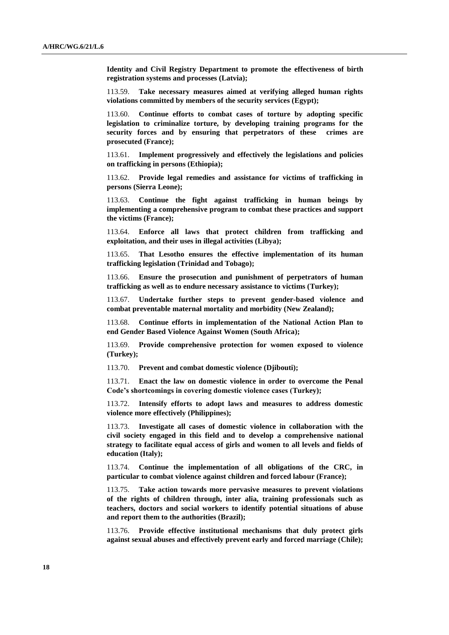**Identity and Civil Registry Department to promote the effectiveness of birth registration systems and processes (Latvia);** 

113.59. **Take necessary measures aimed at verifying alleged human rights violations committed by members of the security services (Egypt);** 

113.60. **Continue efforts to combat cases of torture by adopting specific legislation to criminalize torture, by developing training programs for the security forces and by ensuring that perpetrators of these crimes are prosecuted (France);** 

113.61. **Implement progressively and effectively the legislations and policies on trafficking in persons (Ethiopia);** 

113.62. **Provide legal remedies and assistance for victims of trafficking in persons (Sierra Leone);**

113.63. **Continue the fight against trafficking in human beings by implementing a comprehensive program to combat these practices and support the victims (France);** 

113.64. **Enforce all laws that protect children from trafficking and exploitation, and their uses in illegal activities (Libya);** 

113.65. **That Lesotho ensures the effective implementation of its human trafficking legislation (Trinidad and Tobago);** 

113.66. **Ensure the prosecution and punishment of perpetrators of human trafficking as well as to endure necessary assistance to victims (Turkey);** 

113.67. **Undertake further steps to prevent gender-based violence and combat preventable maternal mortality and morbidity (New Zealand);** 

113.68. **Continue efforts in implementation of the National Action Plan to end Gender Based Violence Against Women (South Africa);** 

113.69. **Provide comprehensive protection for women exposed to violence (Turkey);** 

113.70. **Prevent and combat domestic violence (Djibouti);** 

113.71. **Enact the law on domestic violence in order to overcome the Penal Code's shortcomings in covering domestic violence cases (Turkey);** 

113.72. **Intensify efforts to adopt laws and measures to address domestic violence more effectively (Philippines);** 

113.73. **Investigate all cases of domestic violence in collaboration with the civil society engaged in this field and to develop a comprehensive national strategy to facilitate equal access of girls and women to all levels and fields of education (Italy);** 

113.74. **Continue the implementation of all obligations of the CRC, in particular to combat violence against children and forced labour (France);** 

113.75. **Take action towards more pervasive measures to prevent violations of the rights of children through, inter alia, training professionals such as teachers, doctors and social workers to identify potential situations of abuse and report them to the authorities (Brazil);** 

113.76. **Provide effective institutional mechanisms that duly protect girls against sexual abuses and effectively prevent early and forced marriage (Chile);**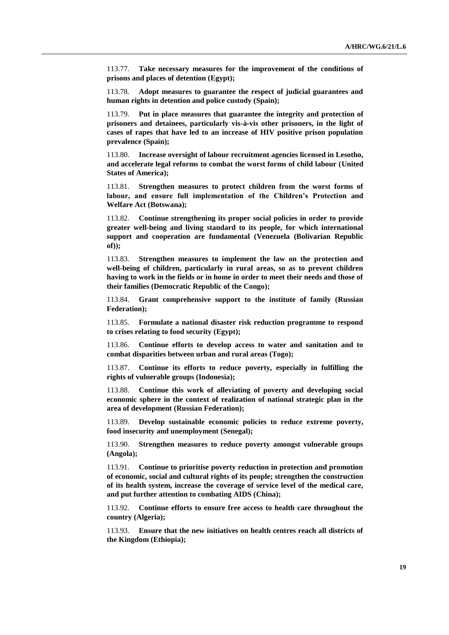113.77. **Take necessary measures for the improvement of the conditions of prisons and places of detention (Egypt);** 

113.78. **Adopt measures to guarantee the respect of judicial guarantees and human rights in detention and police custody (Spain);** 

113.79. **Put in place measures that guarantee the integrity and protection of prisoners and detainees, particularly vis-à-vis other prisoners, in the light of cases of rapes that have led to an increase of HIV positive prison population prevalence (Spain);** 

113.80. **Increase oversight of labour recruitment agencies licensed in Lesotho, and accelerate legal reforms to combat the worst forms of child labour (United States of America);** 

113.81. **Strengthen measures to protect children from the worst forms of labour, and ensure full implementation of the Children's Protection and Welfare Act (Botswana);** 

113.82. **Continue strengthening its proper social policies in order to provide greater well-being and living standard to its people, for which international support and cooperation are fundamental (Venezuela (Bolivarian Republic of));**

113.83. **Strengthen measures to implement the law on the protection and well-being of children, particularly in rural areas, so as to prevent children having to work in the fields or in home in order to meet their needs and those of their families (Democratic Republic of the Congo);** 

113.84. **Grant comprehensive support to the institute of family (Russian Federation);** 

113.85. **Formulate a national disaster risk reduction programme to respond to crises relating to food security (Egypt);** 

113.86. **Continue efforts to develop access to water and sanitation and to combat disparities between urban and rural areas (Togo);** 

113.87. **Continue its efforts to reduce poverty, especially in fulfilling the rights of vulnerable groups (Indonesia);** 

113.88. **Continue this work of alleviating of poverty and developing social economic sphere in the context of realization of national strategic plan in the area of development (Russian Federation);** 

113.89. **Develop sustainable economic policies to reduce extreme poverty, food insecurity and unemployment (Senegal);** 

113.90. **Strengthen measures to reduce poverty amongst vulnerable groups (Angola);** 

113.91. **Continue to prioritise poverty reduction in protection and promotion of economic, social and cultural rights of its people; strengthen the construction of its health system, increase the coverage of service level of the medical care, and put further attention to combating AIDS (China);** 

113.92. **Continue efforts to ensure free access to health care throughout the country (Algeria);** 

113.93. **Ensure that the new initiatives on health centres reach all districts of the Kingdom (Ethiopia);**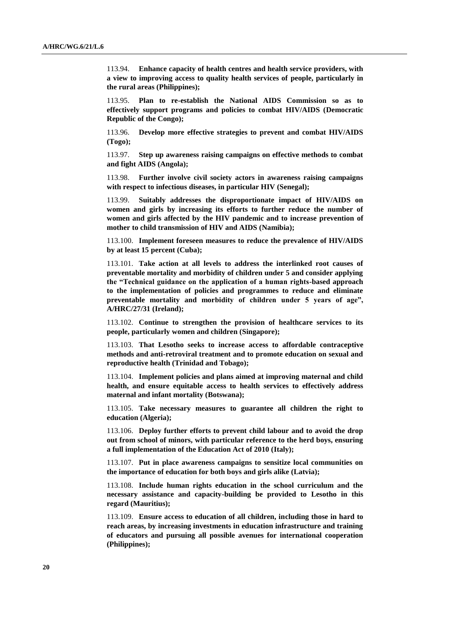113.94. **Enhance capacity of health centres and health service providers, with a view to improving access to quality health services of people, particularly in the rural areas (Philippines);** 

113.95. **Plan to re-establish the National AIDS Commission so as to effectively support programs and policies to combat HIV/AIDS (Democratic Republic of the Congo);** 

113.96. **Develop more effective strategies to prevent and combat HIV/AIDS (Togo);** 

113.97. **Step up awareness raising campaigns on effective methods to combat and fight AIDS (Angola);** 

113.98. **Further involve civil society actors in awareness raising campaigns with respect to infectious diseases, in particular HIV (Senegal);** 

113.99. **Suitably addresses the disproportionate impact of HIV/AIDS on women and girls by increasing its efforts to further reduce the number of women and girls affected by the HIV pandemic and to increase prevention of mother to child transmission of HIV and AIDS (Namibia);** 

113.100. **Implement foreseen measures to reduce the prevalence of HIV/AIDS by at least 15 percent (Cuba);** 

113.101. **Take action at all levels to address the interlinked root causes of preventable mortality and morbidity of children under 5 and consider applying the "Technical guidance on the application of a human rights-based approach to the implementation of policies and programmes to reduce and eliminate preventable mortality and morbidity of children under 5 years of age", A/HRC/27/31 (Ireland);** 

113.102. **Continue to strengthen the provision of healthcare services to its people, particularly women and children (Singapore);** 

113.103. **That Lesotho seeks to increase access to affordable contraceptive methods and anti-retroviral treatment and to promote education on sexual and reproductive health (Trinidad and Tobago);** 

113.104. **Implement policies and plans aimed at improving maternal and child health, and ensure equitable access to health services to effectively address maternal and infant mortality (Botswana);** 

113.105. **Take necessary measures to guarantee all children the right to education (Algeria);** 

113.106. **Deploy further efforts to prevent child labour and to avoid the drop out from school of minors, with particular reference to the herd boys, ensuring a full implementation of the Education Act of 2010 (Italy);** 

113.107. **Put in place awareness campaigns to sensitize local communities on the importance of education for both boys and girls alike (Latvia);** 

113.108. **Include human rights education in the school curriculum and the necessary assistance and capacity-building be provided to Lesotho in this regard (Mauritius);**

113.109. **Ensure access to education of all children, including those in hard to reach areas, by increasing investments in education infrastructure and training of educators and pursuing all possible avenues for international cooperation (Philippines);**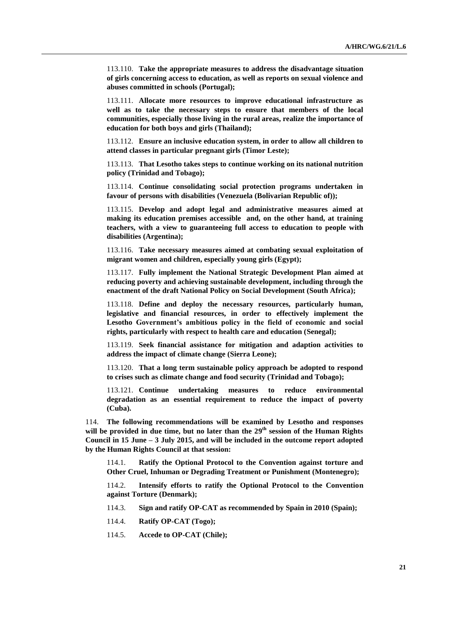113.110. **Take the appropriate measures to address the disadvantage situation of girls concerning access to education, as well as reports on sexual violence and abuses committed in schools (Portugal);** 

113.111. **Allocate more resources to improve educational infrastructure as well as to take the necessary steps to ensure that members of the local communities, especially those living in the rural areas, realize the importance of education for both boys and girls (Thailand);** 

113.112. **Ensure an inclusive education system, in order to allow all children to attend classes in particular pregnant girls (Timor Leste);** 

113.113. **That Lesotho takes steps to continue working on its national nutrition policy (Trinidad and Tobago);** 

113.114. **Continue consolidating social protection programs undertaken in favour of persons with disabilities (Venezuela (Bolivarian Republic of));**

113.115. **Develop and adopt legal and administrative measures aimed at making its education premises accessible and, on the other hand, at training teachers, with a view to guaranteeing full access to education to people with disabilities (Argentina);** 

113.116. **Take necessary measures aimed at combating sexual exploitation of migrant women and children, especially young girls (Egypt);** 

113.117. **Fully implement the National Strategic Development Plan aimed at reducing poverty and achieving sustainable development, including through the enactment of the draft National Policy on Social Development (South Africa);**

113.118. **Define and deploy the necessary resources, particularly human, legislative and financial resources, in order to effectively implement the Lesotho Government's ambitious policy in the field of economic and social rights, particularly with respect to health care and education (Senegal);** 

113.119. **Seek financial assistance for mitigation and adaption activities to address the impact of climate change (Sierra Leone);** 

113.120. **That a long term sustainable policy approach be adopted to respond to crises such as climate change and food security (Trinidad and Tobago);**

113.121. **Continue undertaking measures to reduce environmental degradation as an essential requirement to reduce the impact of poverty (Cuba).**

114. **The following recommendations will be examined by Lesotho and responses**  will be provided in due time, but no later than the 29<sup>th</sup> session of the Human Rights **Council in 15 June – 3 July 2015, and will be included in the outcome report adopted by the Human Rights Council at that session:**

114.1. **Ratify the Optional Protocol to the Convention against torture and Other Cruel, Inhuman or Degrading Treatment or Punishment (Montenegro);**

114.2. **Intensify efforts to ratify the Optional Protocol to the Convention against Torture (Denmark);**

114.3. **Sign and ratify OP-CAT as recommended by Spain in 2010 (Spain);**

114.4. **Ratify OP-CAT (Togo);**

114.5. **Accede to OP-CAT (Chile);**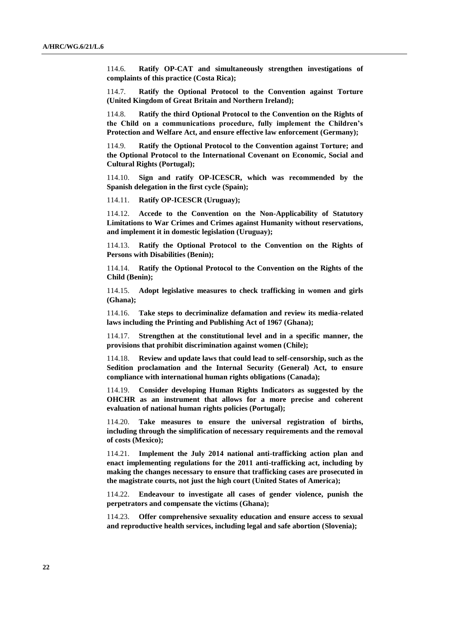114.6. **Ratify OP-CAT and simultaneously strengthen investigations of complaints of this practice (Costa Rica);**

114.7. **Ratify the Optional Protocol to the Convention against Torture (United Kingdom of Great Britain and Northern Ireland);**

114.8. **Ratify the third Optional Protocol to the Convention on the Rights of the Child on a communications procedure, fully implement the Children's Protection and Welfare Act, and ensure effective law enforcement (Germany);**

114.9. **Ratify the Optional Protocol to the Convention against Torture; and the Optional Protocol to the International Covenant on Economic, Social and Cultural Rights (Portugal);**

114.10. **Sign and ratify OP-ICESCR, which was recommended by the Spanish delegation in the first cycle (Spain);**

114.11. **Ratify OP-ICESCR (Uruguay);**

114.12. **Accede to the Convention on the Non-Applicability of Statutory Limitations to War Crimes and Crimes against Humanity without reservations, and implement it in domestic legislation (Uruguay);** 

114.13. **Ratify the Optional Protocol to the Convention on the Rights of Persons with Disabilities (Benin);** 

114.14. **Ratify the Optional Protocol to the Convention on the Rights of the Child (Benin);** 

114.15. **Adopt legislative measures to check trafficking in women and girls (Ghana);** 

114.16. **Take steps to decriminalize defamation and review its media-related laws including the Printing and Publishing Act of 1967 (Ghana);** 

114.17. **Strengthen at the constitutional level and in a specific manner, the provisions that prohibit discrimination against women (Chile);** 

114.18. **Review and update laws that could lead to self-censorship, such as the Sedition proclamation and the Internal Security (General) Act, to ensure compliance with international human rights obligations (Canada);** 

114.19. **Consider developing Human Rights Indicators as suggested by the OHCHR as an instrument that allows for a more precise and coherent evaluation of national human rights policies (Portugal);** 

114.20. **Take measures to ensure the universal registration of births, including through the simplification of necessary requirements and the removal of costs (Mexico);** 

114.21. **Implement the July 2014 national anti-trafficking action plan and enact implementing regulations for the 2011 anti-trafficking act, including by making the changes necessary to ensure that trafficking cases are prosecuted in the magistrate courts, not just the high court (United States of America);** 

114.22. **Endeavour to investigate all cases of gender violence, punish the perpetrators and compensate the victims (Ghana);** 

114.23. **Offer comprehensive sexuality education and ensure access to sexual and reproductive health services, including legal and safe abortion (Slovenia);**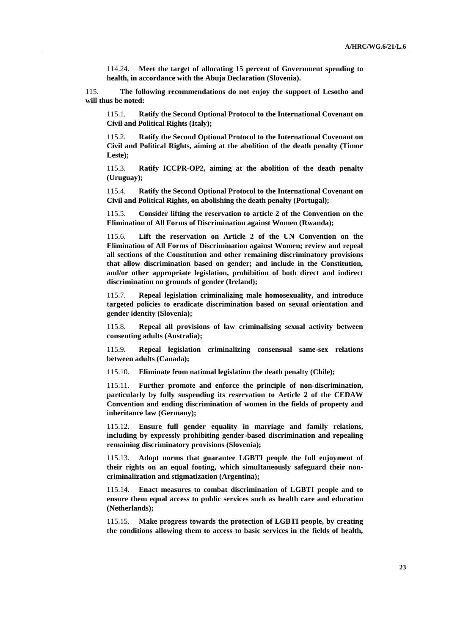114.24. **Meet the target of allocating 15 percent of Government spending to health, in accordance with the Abuja Declaration (Slovenia).**

115. **The following recommendations do not enjoy the support of Lesotho and will thus be noted:**

115.1. **Ratify the Second Optional Protocol to the International Covenant on Civil and Political Rights (Italy);** 

115.2. **Ratify the Second Optional Protocol to the International Covenant on Civil and Political Rights, aiming at the abolition of the death penalty (Timor Leste);** 

115.3. **Ratify ICCPR-OP2, aiming at the abolition of the death penalty (Uruguay);** 

115.4. **Ratify the Second Optional Protocol to the International Covenant on Civil and Political Rights, on abolishing the death penalty (Portugal);**

115.5. **Consider lifting the reservation to article 2 of the Convention on the Elimination of All Forms of Discrimination against Women (Rwanda);** 

115.6. **Lift the reservation on Article 2 of the UN Convention on the Elimination of All Forms of Discrimination against Women; review and repeal all sections of the Constitution and other remaining discriminatory provisions that allow discrimination based on gender; and include in the Constitution, and/or other appropriate legislation, prohibition of both direct and indirect discrimination on grounds of gender (Ireland);** 

115.7. **Repeal legislation criminalizing male homosexuality, and introduce targeted policies to eradicate discrimination based on sexual orientation and gender identity (Slovenia);** 

115.8. **Repeal all provisions of law criminalising sexual activity between consenting adults (Australia);** 

115.9. **Repeal legislation criminalizing consensual same-sex relations between adults (Canada);** 

115.10. **Eliminate from national legislation the death penalty (Chile);** 

115.11. **Further promote and enforce the principle of non-discrimination, particularly by fully suspending its reservation to Article 2 of the CEDAW Convention and ending discrimination of women in the fields of property and inheritance law (Germany);** 

115.12. **Ensure full gender equality in marriage and family relations, including by expressly prohibiting gender-based discrimination and repealing remaining discriminatory provisions (Slovenia);** 

115.13. **Adopt norms that guarantee LGBTI people the full enjoyment of their rights on an equal footing, which simultaneously safeguard their noncriminalization and stigmatization (Argentina);** 

115.14. **Enact measures to combat discrimination of LGBTI people and to ensure them equal access to public services such as health care and education (Netherlands);** 

115.15. **Make progress towards the protection of LGBTI people, by creating the conditions allowing them to access to basic services in the fields of health,**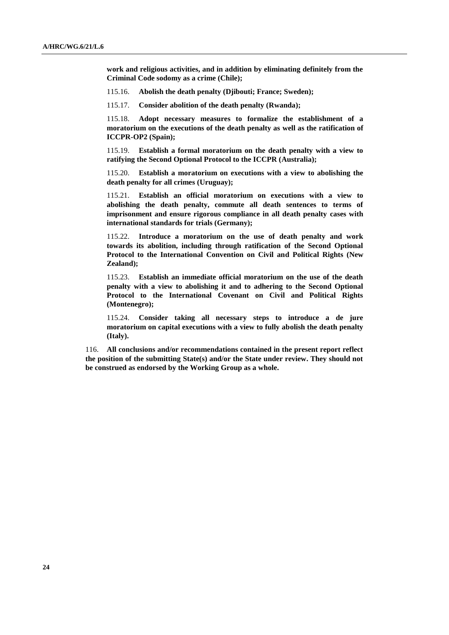**work and religious activities, and in addition by eliminating definitely from the Criminal Code sodomy as a crime (Chile);** 

115.16. **Abolish the death penalty (Djibouti; France; Sweden);**

115.17. **Consider abolition of the death penalty (Rwanda);** 

115.18. **Adopt necessary measures to formalize the establishment of a moratorium on the executions of the death penalty as well as the ratification of ICCPR-OP2 (Spain);** 

115.19. **Establish a formal moratorium on the death penalty with a view to ratifying the Second Optional Protocol to the ICCPR (Australia);** 

115.20. **Establish a moratorium on executions with a view to abolishing the death penalty for all crimes (Uruguay);** 

115.21. **Establish an official moratorium on executions with a view to abolishing the death penalty, commute all death sentences to terms of imprisonment and ensure rigorous compliance in all death penalty cases with international standards for trials (Germany);** 

115.22. **Introduce a moratorium on the use of death penalty and work towards its abolition, including through ratification of the Second Optional Protocol to the International Convention on Civil and Political Rights (New Zealand);** 

115.23. **Establish an immediate official moratorium on the use of the death penalty with a view to abolishing it and to adhering to the Second Optional Protocol to the International Covenant on Civil and Political Rights (Montenegro);**

115.24. **Consider taking all necessary steps to introduce a de jure moratorium on capital executions with a view to fully abolish the death penalty (Italy).**

116. **All conclusions and/or recommendations contained in the present report reflect the position of the submitting State(s) and/or the State under review. They should not be construed as endorsed by the Working Group as a whole.**